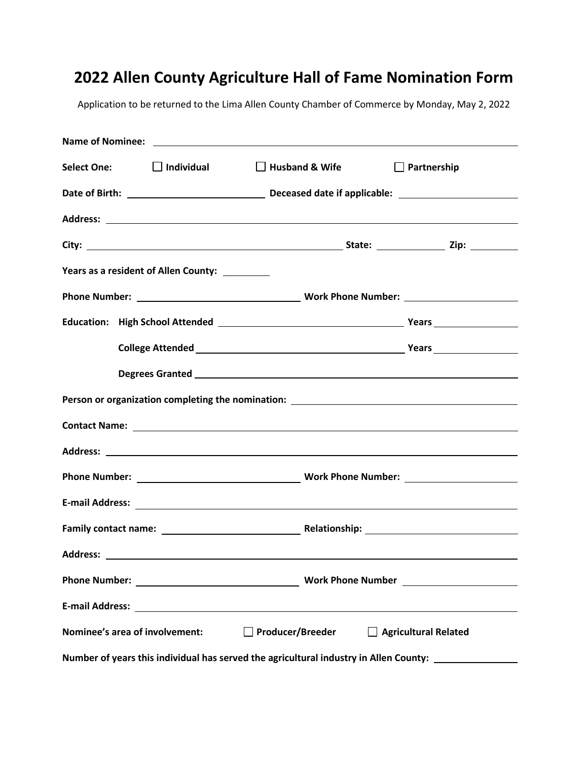## **2022 Allen County Agriculture Hall of Fame Nomination Form**

Application to be returned to the Lima Allen County Chamber of Commerce by Monday, May 2, 2022

| <b>Select One:</b>                                                                    | $\Box$ Individual                              | $\Box$ Husband & Wife | $\Box$ Partnership |
|---------------------------------------------------------------------------------------|------------------------------------------------|-----------------------|--------------------|
|                                                                                       |                                                |                       |                    |
|                                                                                       |                                                |                       |                    |
|                                                                                       |                                                |                       |                    |
|                                                                                       | Years as a resident of Allen County: _________ |                       |                    |
|                                                                                       |                                                |                       |                    |
|                                                                                       |                                                |                       |                    |
|                                                                                       |                                                |                       |                    |
|                                                                                       |                                                |                       |                    |
| Person or organization completing the nomination: _______________________________     |                                                |                       |                    |
|                                                                                       |                                                |                       |                    |
|                                                                                       |                                                |                       |                    |
|                                                                                       |                                                |                       |                    |
|                                                                                       |                                                |                       |                    |
|                                                                                       |                                                |                       |                    |
|                                                                                       |                                                |                       |                    |
|                                                                                       |                                                |                       |                    |
|                                                                                       |                                                |                       |                    |
| Nominee's area of involvement:<br>□ Producer/Breeder<br>Agricultural Related          |                                                |                       |                    |
| Number of years this individual has served the agricultural industry in Allen County: |                                                |                       |                    |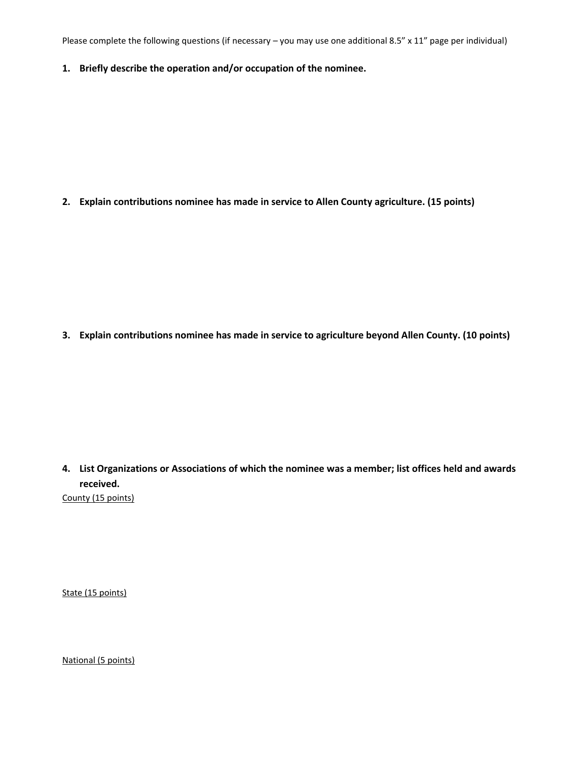Please complete the following questions (if necessary – you may use one additional 8.5" x 11" page per individual)

**1. Briefly describe the operation and/or occupation of the nominee.**

**2. Explain contributions nominee has made in service to Allen County agriculture. (15 points)**

**3. Explain contributions nominee has made in service to agriculture beyond Allen County. (10 points)**

**4. List Organizations or Associations of which the nominee was a member; list offices held and awards received.** County (15 points)

State (15 points)

National (5 points)